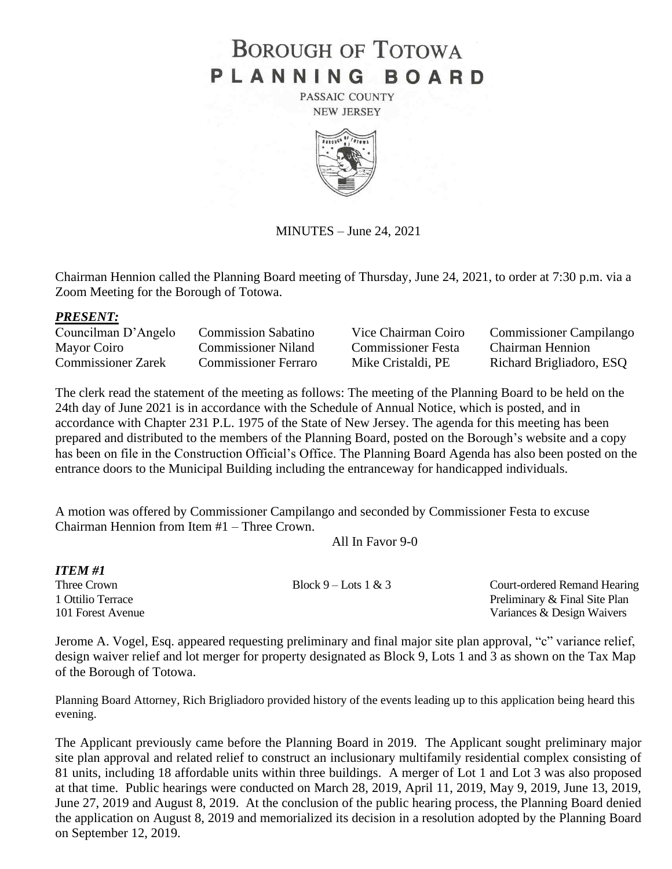# **BOROUGH OF TOTOWA** PLANNING BOARD

PASSAIC COUNTY **NEW JERSEY** 



MINUTES – June 24, 2021

Chairman Hennion called the Planning Board meeting of Thursday, June 24, 2021, to order at 7:30 p.m. via a Zoom Meeting for the Borough of Totowa.

#### *PRESENT:*

| Councilman D'Angelo       | <b>Commission Sabatino</b>  | Vice Chairman Coiro       | <b>Commissioner Campilango</b> |
|---------------------------|-----------------------------|---------------------------|--------------------------------|
| Mayor Coiro               | Commissioner Niland         | <b>Commissioner Festa</b> | <b>Chairman Hennion</b>        |
| <b>Commissioner Zarek</b> | <b>Commissioner Ferraro</b> | Mike Cristaldi, PE        | Richard Brigliadoro, ESQ       |

The clerk read the statement of the meeting as follows: The meeting of the Planning Board to be held on the 24th day of June 2021 is in accordance with the Schedule of Annual Notice, which is posted, and in accordance with Chapter 231 P.L. 1975 of the State of New Jersey. The agenda for this meeting has been prepared and distributed to the members of the Planning Board, posted on the Borough's website and a copy has been on file in the Construction Official's Office. The Planning Board Agenda has also been posted on the entrance doors to the Municipal Building including the entranceway for handicapped individuals.

A motion was offered by Commissioner Campilango and seconded by Commissioner Festa to excuse Chairman Hennion from Item #1 – Three Crown.

All In Favor 9-0

| <b>ITEM#1</b>     |                        |                               |
|-------------------|------------------------|-------------------------------|
| Three Crown       | Block $9$ – Lots 1 & 3 | Court-ordered Remand Hearing  |
| 1 Ottilio Terrace |                        | Preliminary & Final Site Plan |
| 101 Forest Avenue |                        | Variances & Design Waivers    |

Jerome A. Vogel, Esq. appeared requesting preliminary and final major site plan approval, "c" variance relief, design waiver relief and lot merger for property designated as Block 9, Lots 1 and 3 as shown on the Tax Map of the Borough of Totowa.

Planning Board Attorney, Rich Brigliadoro provided history of the events leading up to this application being heard this evening.

The Applicant previously came before the Planning Board in 2019. The Applicant sought preliminary major site plan approval and related relief to construct an inclusionary multifamily residential complex consisting of 81 units, including 18 affordable units within three buildings. A merger of Lot 1 and Lot 3 was also proposed at that time. Public hearings were conducted on March 28, 2019, April 11, 2019, May 9, 2019, June 13, 2019, June 27, 2019 and August 8, 2019. At the conclusion of the public hearing process, the Planning Board denied the application on August 8, 2019 and memorialized its decision in a resolution adopted by the Planning Board on September 12, 2019.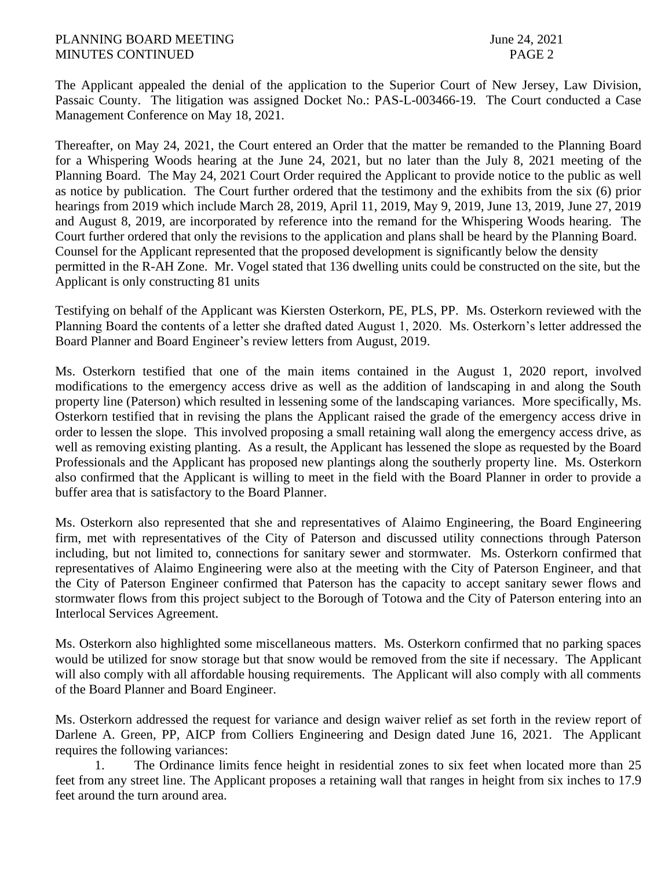The Applicant appealed the denial of the application to the Superior Court of New Jersey, Law Division, Passaic County. The litigation was assigned Docket No.: PAS-L-003466-19. The Court conducted a Case Management Conference on May 18, 2021.

Thereafter, on May 24, 2021, the Court entered an Order that the matter be remanded to the Planning Board for a Whispering Woods hearing at the June 24, 2021, but no later than the July 8, 2021 meeting of the Planning Board. The May 24, 2021 Court Order required the Applicant to provide notice to the public as well as notice by publication. The Court further ordered that the testimony and the exhibits from the six (6) prior hearings from 2019 which include March 28, 2019, April 11, 2019, May 9, 2019, June 13, 2019, June 27, 2019 and August 8, 2019, are incorporated by reference into the remand for the Whispering Woods hearing. The Court further ordered that only the revisions to the application and plans shall be heard by the Planning Board. Counsel for the Applicant represented that the proposed development is significantly below the density permitted in the R-AH Zone. Mr. Vogel stated that 136 dwelling units could be constructed on the site, but the Applicant is only constructing 81 units

Testifying on behalf of the Applicant was Kiersten Osterkorn, PE, PLS, PP. Ms. Osterkorn reviewed with the Planning Board the contents of a letter she drafted dated August 1, 2020. Ms. Osterkorn's letter addressed the Board Planner and Board Engineer's review letters from August, 2019.

Ms. Osterkorn testified that one of the main items contained in the August 1, 2020 report, involved modifications to the emergency access drive as well as the addition of landscaping in and along the South property line (Paterson) which resulted in lessening some of the landscaping variances. More specifically, Ms. Osterkorn testified that in revising the plans the Applicant raised the grade of the emergency access drive in order to lessen the slope. This involved proposing a small retaining wall along the emergency access drive, as well as removing existing planting. As a result, the Applicant has lessened the slope as requested by the Board Professionals and the Applicant has proposed new plantings along the southerly property line. Ms. Osterkorn also confirmed that the Applicant is willing to meet in the field with the Board Planner in order to provide a buffer area that is satisfactory to the Board Planner.

Ms. Osterkorn also represented that she and representatives of Alaimo Engineering, the Board Engineering firm, met with representatives of the City of Paterson and discussed utility connections through Paterson including, but not limited to, connections for sanitary sewer and stormwater. Ms. Osterkorn confirmed that representatives of Alaimo Engineering were also at the meeting with the City of Paterson Engineer, and that the City of Paterson Engineer confirmed that Paterson has the capacity to accept sanitary sewer flows and stormwater flows from this project subject to the Borough of Totowa and the City of Paterson entering into an Interlocal Services Agreement.

Ms. Osterkorn also highlighted some miscellaneous matters. Ms. Osterkorn confirmed that no parking spaces would be utilized for snow storage but that snow would be removed from the site if necessary. The Applicant will also comply with all affordable housing requirements. The Applicant will also comply with all comments of the Board Planner and Board Engineer.

Ms. Osterkorn addressed the request for variance and design waiver relief as set forth in the review report of Darlene A. Green, PP, AICP from Colliers Engineering and Design dated June 16, 2021. The Applicant requires the following variances:

1. The Ordinance limits fence height in residential zones to six feet when located more than 25 feet from any street line. The Applicant proposes a retaining wall that ranges in height from six inches to 17.9 feet around the turn around area.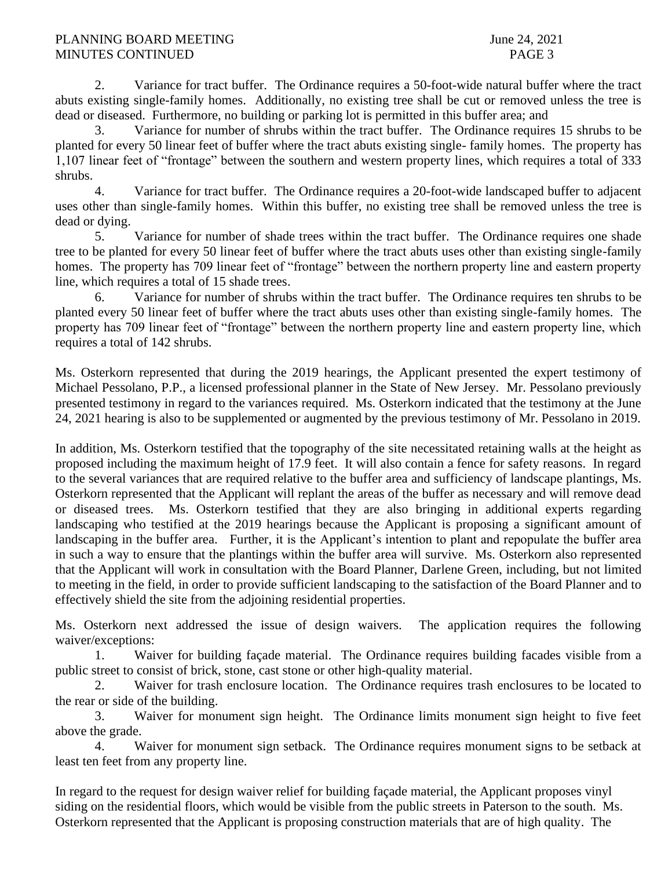2. Variance for tract buffer. The Ordinance requires a 50-foot-wide natural buffer where the tract abuts existing single-family homes. Additionally, no existing tree shall be cut or removed unless the tree is dead or diseased. Furthermore, no building or parking lot is permitted in this buffer area; and

3. Variance for number of shrubs within the tract buffer. The Ordinance requires 15 shrubs to be planted for every 50 linear feet of buffer where the tract abuts existing single- family homes. The property has 1,107 linear feet of "frontage" between the southern and western property lines, which requires a total of 333 shrubs.

4. Variance for tract buffer. The Ordinance requires a 20-foot-wide landscaped buffer to adjacent uses other than single-family homes. Within this buffer, no existing tree shall be removed unless the tree is dead or dying.

5. Variance for number of shade trees within the tract buffer. The Ordinance requires one shade tree to be planted for every 50 linear feet of buffer where the tract abuts uses other than existing single-family homes. The property has 709 linear feet of "frontage" between the northern property line and eastern property line, which requires a total of 15 shade trees.

6. Variance for number of shrubs within the tract buffer. The Ordinance requires ten shrubs to be planted every 50 linear feet of buffer where the tract abuts uses other than existing single-family homes. The property has 709 linear feet of "frontage" between the northern property line and eastern property line, which requires a total of 142 shrubs.

Ms. Osterkorn represented that during the 2019 hearings, the Applicant presented the expert testimony of Michael Pessolano, P.P., a licensed professional planner in the State of New Jersey. Mr. Pessolano previously presented testimony in regard to the variances required. Ms. Osterkorn indicated that the testimony at the June 24, 2021 hearing is also to be supplemented or augmented by the previous testimony of Mr. Pessolano in 2019.

In addition, Ms. Osterkorn testified that the topography of the site necessitated retaining walls at the height as proposed including the maximum height of 17.9 feet. It will also contain a fence for safety reasons. In regard to the several variances that are required relative to the buffer area and sufficiency of landscape plantings, Ms. Osterkorn represented that the Applicant will replant the areas of the buffer as necessary and will remove dead or diseased trees. Ms. Osterkorn testified that they are also bringing in additional experts regarding landscaping who testified at the 2019 hearings because the Applicant is proposing a significant amount of landscaping in the buffer area. Further, it is the Applicant's intention to plant and repopulate the buffer area in such a way to ensure that the plantings within the buffer area will survive. Ms. Osterkorn also represented that the Applicant will work in consultation with the Board Planner, Darlene Green, including, but not limited to meeting in the field, in order to provide sufficient landscaping to the satisfaction of the Board Planner and to effectively shield the site from the adjoining residential properties.

Ms. Osterkorn next addressed the issue of design waivers. The application requires the following waiver/exceptions:

1. Waiver for building façade material. The Ordinance requires building facades visible from a public street to consist of brick, stone, cast stone or other high-quality material.

2. Waiver for trash enclosure location. The Ordinance requires trash enclosures to be located to the rear or side of the building.

3. Waiver for monument sign height. The Ordinance limits monument sign height to five feet above the grade.

4. Waiver for monument sign setback. The Ordinance requires monument signs to be setback at least ten feet from any property line.

In regard to the request for design waiver relief for building façade material, the Applicant proposes vinyl siding on the residential floors, which would be visible from the public streets in Paterson to the south. Ms. Osterkorn represented that the Applicant is proposing construction materials that are of high quality. The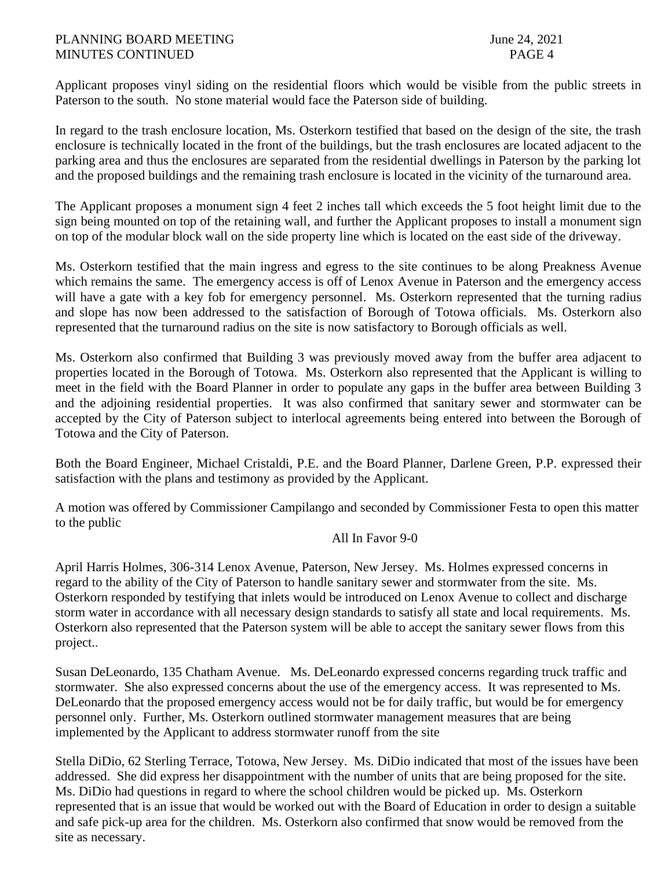Applicant proposes vinyl siding on the residential floors which would be visible from the public streets in Paterson to the south. No stone material would face the Paterson side of building.

In regard to the trash enclosure location, Ms. Osterkorn testified that based on the design of the site, the trash enclosure is technically located in the front of the buildings, but the trash enclosures are located adjacent to the parking area and thus the enclosures are separated from the residential dwellings in Paterson by the parking lot and the proposed buildings and the remaining trash enclosure is located in the vicinity of the turnaround area.

The Applicant proposes a monument sign 4 feet 2 inches tall which exceeds the 5 foot height limit due to the sign being mounted on top of the retaining wall, and further the Applicant proposes to install a monument sign on top of the modular block wall on the side property line which is located on the east side of the driveway.

Ms. Osterkorn testified that the main ingress and egress to the site continues to be along Preakness Avenue which remains the same. The emergency access is off of Lenox Avenue in Paterson and the emergency access will have a gate with a key fob for emergency personnel. Ms. Osterkorn represented that the turning radius and slope has now been addressed to the satisfaction of Borough of Totowa officials. Ms. Osterkorn also represented that the turnaround radius on the site is now satisfactory to Borough officials as well.

Ms. Osterkorn also confirmed that Building 3 was previously moved away from the buffer area adjacent to properties located in the Borough of Totowa. Ms. Osterkorn also represented that the Applicant is willing to meet in the field with the Board Planner in order to populate any gaps in the buffer area between Building 3 and the adjoining residential properties. It was also confirmed that sanitary sewer and stormwater can be accepted by the City of Paterson subject to interlocal agreements being entered into between the Borough of Totowa and the City of Paterson.

Both the Board Engineer, Michael Cristaldi, P.E. and the Board Planner, Darlene Green, P.P. expressed their satisfaction with the plans and testimony as provided by the Applicant.

A motion was offered by Commissioner Campilango and seconded by Commissioner Festa to open this matter to the public

# All In Favor 9-0

April Harris Holmes, 306-314 Lenox Avenue, Paterson, New Jersey. Ms. Holmes expressed concerns in regard to the ability of the City of Paterson to handle sanitary sewer and stormwater from the site. Ms. Osterkorn responded by testifying that inlets would be introduced on Lenox Avenue to collect and discharge storm water in accordance with all necessary design standards to satisfy all state and local requirements. Ms. Osterkorn also represented that the Paterson system will be able to accept the sanitary sewer flows from this project..

Susan DeLeonardo, 135 Chatham Avenue. Ms. DeLeonardo expressed concerns regarding truck traffic and stormwater. She also expressed concerns about the use of the emergency access. It was represented to Ms. DeLeonardo that the proposed emergency access would not be for daily traffic, but would be for emergency personnel only. Further, Ms. Osterkorn outlined stormwater management measures that are being implemented by the Applicant to address stormwater runoff from the site

Stella DiDio, 62 Sterling Terrace, Totowa, New Jersey. Ms. DiDio indicated that most of the issues have been addressed. She did express her disappointment with the number of units that are being proposed for the site. Ms. DiDio had questions in regard to where the school children would be picked up. Ms. Osterkorn represented that is an issue that would be worked out with the Board of Education in order to design a suitable and safe pick-up area for the children. Ms. Osterkorn also confirmed that snow would be removed from the site as necessary.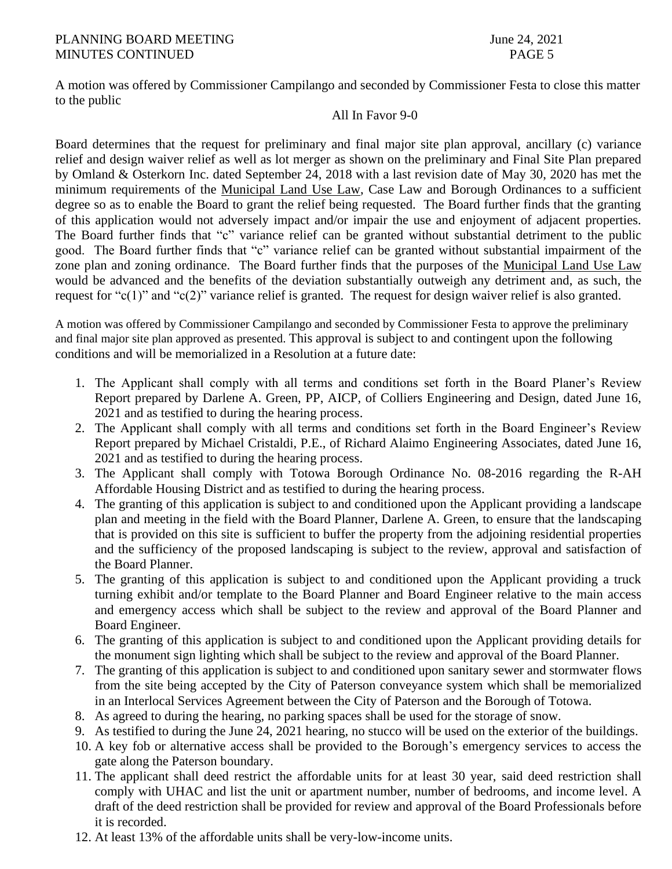A motion was offered by Commissioner Campilango and seconded by Commissioner Festa to close this matter to the public

# All In Favor 9-0

Board determines that the request for preliminary and final major site plan approval, ancillary (c) variance relief and design waiver relief as well as lot merger as shown on the preliminary and Final Site Plan prepared by Omland & Osterkorn Inc. dated September 24, 2018 with a last revision date of May 30, 2020 has met the minimum requirements of the Municipal Land Use Law, Case Law and Borough Ordinances to a sufficient degree so as to enable the Board to grant the relief being requested. The Board further finds that the granting of this application would not adversely impact and/or impair the use and enjoyment of adjacent properties. The Board further finds that "c" variance relief can be granted without substantial detriment to the public good. The Board further finds that "c" variance relief can be granted without substantial impairment of the zone plan and zoning ordinance. The Board further finds that the purposes of the Municipal Land Use Law would be advanced and the benefits of the deviation substantially outweigh any detriment and, as such, the request for "c(1)" and "c(2)" variance relief is granted. The request for design waiver relief is also granted.

A motion was offered by Commissioner Campilango and seconded by Commissioner Festa to approve the preliminary and final major site plan approved as presented. This approval is subject to and contingent upon the following conditions and will be memorialized in a Resolution at a future date:

- 1. The Applicant shall comply with all terms and conditions set forth in the Board Planer's Review Report prepared by Darlene A. Green, PP, AICP, of Colliers Engineering and Design, dated June 16, 2021 and as testified to during the hearing process.
- 2. The Applicant shall comply with all terms and conditions set forth in the Board Engineer's Review Report prepared by Michael Cristaldi, P.E., of Richard Alaimo Engineering Associates, dated June 16, 2021 and as testified to during the hearing process.
- 3. The Applicant shall comply with Totowa Borough Ordinance No. 08-2016 regarding the R-AH Affordable Housing District and as testified to during the hearing process.
- 4. The granting of this application is subject to and conditioned upon the Applicant providing a landscape plan and meeting in the field with the Board Planner, Darlene A. Green, to ensure that the landscaping that is provided on this site is sufficient to buffer the property from the adjoining residential properties and the sufficiency of the proposed landscaping is subject to the review, approval and satisfaction of the Board Planner.
- 5. The granting of this application is subject to and conditioned upon the Applicant providing a truck turning exhibit and/or template to the Board Planner and Board Engineer relative to the main access and emergency access which shall be subject to the review and approval of the Board Planner and Board Engineer.
- 6. The granting of this application is subject to and conditioned upon the Applicant providing details for the monument sign lighting which shall be subject to the review and approval of the Board Planner.
- 7. The granting of this application is subject to and conditioned upon sanitary sewer and stormwater flows from the site being accepted by the City of Paterson conveyance system which shall be memorialized in an Interlocal Services Agreement between the City of Paterson and the Borough of Totowa.
- 8. As agreed to during the hearing, no parking spaces shall be used for the storage of snow.
- 9. As testified to during the June 24, 2021 hearing, no stucco will be used on the exterior of the buildings.
- 10. A key fob or alternative access shall be provided to the Borough's emergency services to access the gate along the Paterson boundary.
- 11. The applicant shall deed restrict the affordable units for at least 30 year, said deed restriction shall comply with UHAC and list the unit or apartment number, number of bedrooms, and income level. A draft of the deed restriction shall be provided for review and approval of the Board Professionals before it is recorded.
- 12. At least 13% of the affordable units shall be very-low-income units.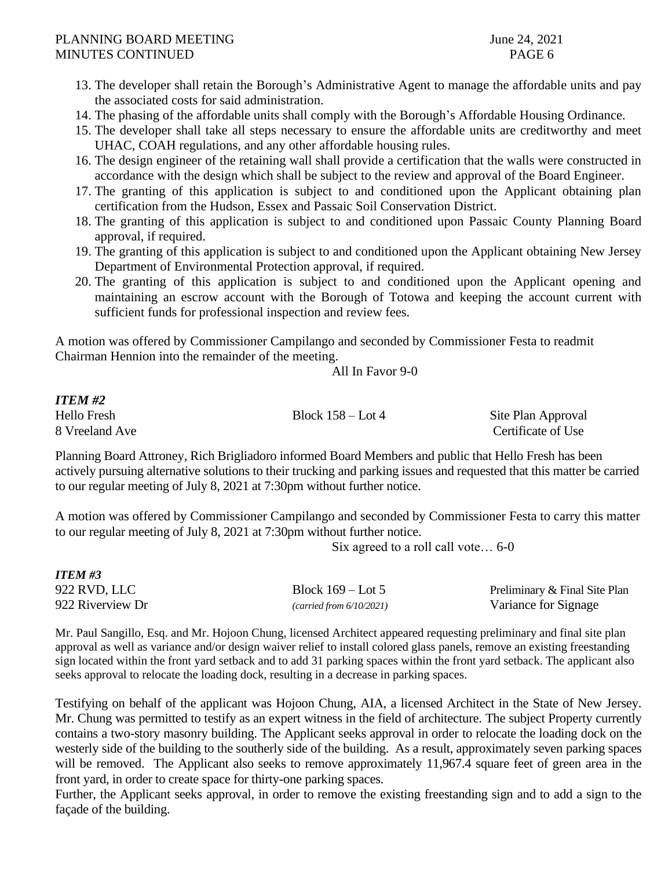- 13. The developer shall retain the Borough's Administrative Agent to manage the affordable units and pay the associated costs for said administration.
- 14. The phasing of the affordable units shall comply with the Borough's Affordable Housing Ordinance.
- 15. The developer shall take all steps necessary to ensure the affordable units are creditworthy and meet UHAC, COAH regulations, and any other affordable housing rules.
- 16. The design engineer of the retaining wall shall provide a certification that the walls were constructed in accordance with the design which shall be subject to the review and approval of the Board Engineer.
- 17. The granting of this application is subject to and conditioned upon the Applicant obtaining plan certification from the Hudson, Essex and Passaic Soil Conservation District.
- 18. The granting of this application is subject to and conditioned upon Passaic County Planning Board approval, if required.
- 19. The granting of this application is subject to and conditioned upon the Applicant obtaining New Jersey Department of Environmental Protection approval, if required.
- 20. The granting of this application is subject to and conditioned upon the Applicant opening and maintaining an escrow account with the Borough of Totowa and keeping the account current with sufficient funds for professional inspection and review fees.

A motion was offered by Commissioner Campilango and seconded by Commissioner Festa to readmit Chairman Hennion into the remainder of the meeting.

All In Favor 9-0

# *ITEM #2*

Hello Fresh Block 158 – Lot 4 Site Plan Approval

8 Vreeland Ave Certificate of Use

Planning Board Attroney, Rich Brigliadoro informed Board Members and public that Hello Fresh has been actively pursuing alternative solutions to their trucking and parking issues and requested that this matter be carried to our regular meeting of July 8, 2021 at 7:30pm without further notice.

A motion was offered by Commissioner Campilango and seconded by Commissioner Festa to carry this matter to our regular meeting of July 8, 2021 at 7:30pm without further notice.

Six agreed to a roll call vote… 6-0

| <b>ITEM #3</b>   |                          |                               |
|------------------|--------------------------|-------------------------------|
| 922 RVD, LLC     | Block $169$ – Lot 5      | Preliminary & Final Site Plan |
| 922 Riverview Dr | (carried from 6/10/2021) | Variance for Signage          |

Mr. Paul Sangillo, Esq. and Mr. Hojoon Chung, licensed Architect appeared requesting preliminary and final site plan approval as well as variance and/or design waiver relief to install colored glass panels, remove an existing freestanding sign located within the front yard setback and to add 31 parking spaces within the front yard setback. The applicant also seeks approval to relocate the loading dock, resulting in a decrease in parking spaces.

Testifying on behalf of the applicant was Hojoon Chung, AIA, a licensed Architect in the State of New Jersey. Mr. Chung was permitted to testify as an expert witness in the field of architecture. The subject Property currently contains a two-story masonry building. The Applicant seeks approval in order to relocate the loading dock on the westerly side of the building to the southerly side of the building. As a result, approximately seven parking spaces will be removed. The Applicant also seeks to remove approximately 11,967.4 square feet of green area in the front yard, in order to create space for thirty-one parking spaces.

Further, the Applicant seeks approval, in order to remove the existing freestanding sign and to add a sign to the façade of the building.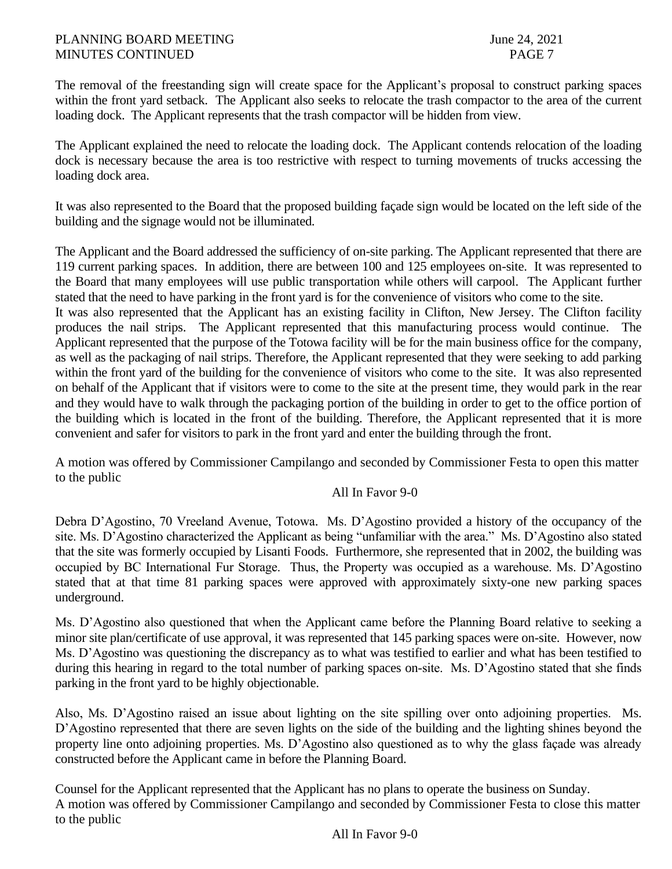The removal of the freestanding sign will create space for the Applicant's proposal to construct parking spaces within the front yard setback. The Applicant also seeks to relocate the trash compactor to the area of the current loading dock. The Applicant represents that the trash compactor will be hidden from view.

The Applicant explained the need to relocate the loading dock. The Applicant contends relocation of the loading dock is necessary because the area is too restrictive with respect to turning movements of trucks accessing the loading dock area.

It was also represented to the Board that the proposed building façade sign would be located on the left side of the building and the signage would not be illuminated.

The Applicant and the Board addressed the sufficiency of on-site parking. The Applicant represented that there are 119 current parking spaces. In addition, there are between 100 and 125 employees on-site. It was represented to the Board that many employees will use public transportation while others will carpool. The Applicant further stated that the need to have parking in the front yard is for the convenience of visitors who come to the site.

It was also represented that the Applicant has an existing facility in Clifton, New Jersey. The Clifton facility produces the nail strips. The Applicant represented that this manufacturing process would continue. The Applicant represented that the purpose of the Totowa facility will be for the main business office for the company, as well as the packaging of nail strips. Therefore, the Applicant represented that they were seeking to add parking within the front yard of the building for the convenience of visitors who come to the site. It was also represented on behalf of the Applicant that if visitors were to come to the site at the present time, they would park in the rear and they would have to walk through the packaging portion of the building in order to get to the office portion of the building which is located in the front of the building. Therefore, the Applicant represented that it is more convenient and safer for visitors to park in the front yard and enter the building through the front.

A motion was offered by Commissioner Campilango and seconded by Commissioner Festa to open this matter to the public

# All In Favor 9-0

Debra D'Agostino, 70 Vreeland Avenue, Totowa. Ms. D'Agostino provided a history of the occupancy of the site. Ms. D'Agostino characterized the Applicant as being "unfamiliar with the area." Ms. D'Agostino also stated that the site was formerly occupied by Lisanti Foods. Furthermore, she represented that in 2002, the building was occupied by BC International Fur Storage. Thus, the Property was occupied as a warehouse. Ms. D'Agostino stated that at that time 81 parking spaces were approved with approximately sixty-one new parking spaces underground.

Ms. D'Agostino also questioned that when the Applicant came before the Planning Board relative to seeking a minor site plan/certificate of use approval, it was represented that 145 parking spaces were on-site. However, now Ms. D'Agostino was questioning the discrepancy as to what was testified to earlier and what has been testified to during this hearing in regard to the total number of parking spaces on-site. Ms. D'Agostino stated that she finds parking in the front yard to be highly objectionable.

Also, Ms. D'Agostino raised an issue about lighting on the site spilling over onto adjoining properties. Ms. D'Agostino represented that there are seven lights on the side of the building and the lighting shines beyond the property line onto adjoining properties. Ms. D'Agostino also questioned as to why the glass façade was already constructed before the Applicant came in before the Planning Board.

Counsel for the Applicant represented that the Applicant has no plans to operate the business on Sunday. A motion was offered by Commissioner Campilango and seconded by Commissioner Festa to close this matter to the public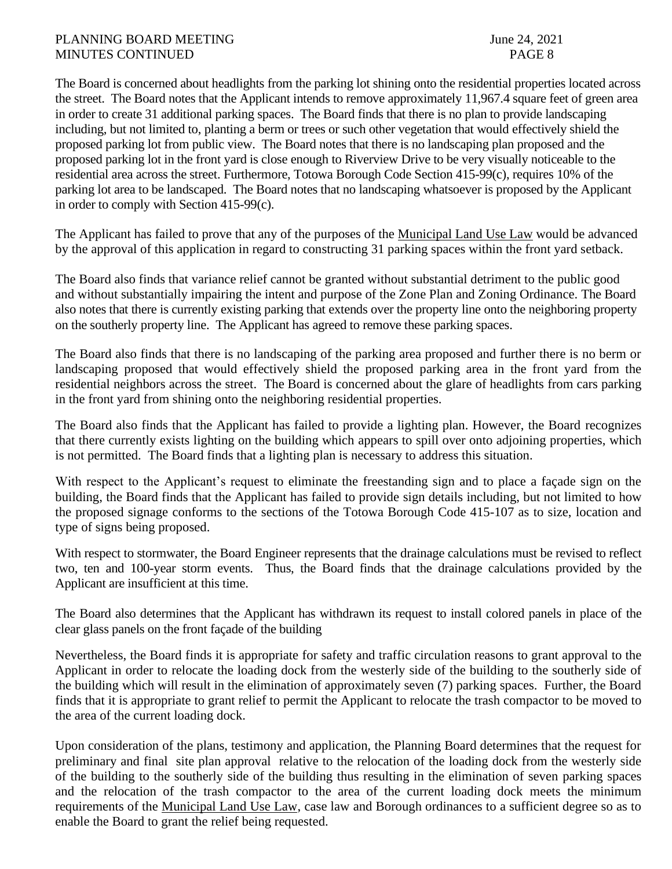The Board is concerned about headlights from the parking lot shining onto the residential properties located across the street. The Board notes that the Applicant intends to remove approximately 11,967.4 square feet of green area in order to create 31 additional parking spaces. The Board finds that there is no plan to provide landscaping including, but not limited to, planting a berm or trees or such other vegetation that would effectively shield the proposed parking lot from public view. The Board notes that there is no landscaping plan proposed and the proposed parking lot in the front yard is close enough to Riverview Drive to be very visually noticeable to the residential area across the street. Furthermore, Totowa Borough Code Section 415-99(c), requires 10% of the parking lot area to be landscaped. The Board notes that no landscaping whatsoever is proposed by the Applicant in order to comply with Section 415-99(c).

The Applicant has failed to prove that any of the purposes of the Municipal Land Use Law would be advanced by the approval of this application in regard to constructing 31 parking spaces within the front yard setback.

The Board also finds that variance relief cannot be granted without substantial detriment to the public good and without substantially impairing the intent and purpose of the Zone Plan and Zoning Ordinance. The Board also notes that there is currently existing parking that extends over the property line onto the neighboring property on the southerly property line. The Applicant has agreed to remove these parking spaces.

The Board also finds that there is no landscaping of the parking area proposed and further there is no berm or landscaping proposed that would effectively shield the proposed parking area in the front yard from the residential neighbors across the street. The Board is concerned about the glare of headlights from cars parking in the front yard from shining onto the neighboring residential properties.

The Board also finds that the Applicant has failed to provide a lighting plan. However, the Board recognizes that there currently exists lighting on the building which appears to spill over onto adjoining properties, which is not permitted. The Board finds that a lighting plan is necessary to address this situation.

With respect to the Applicant's request to eliminate the freestanding sign and to place a façade sign on the building, the Board finds that the Applicant has failed to provide sign details including, but not limited to how the proposed signage conforms to the sections of the Totowa Borough Code 415-107 as to size, location and type of signs being proposed.

With respect to stormwater, the Board Engineer represents that the drainage calculations must be revised to reflect two, ten and 100-year storm events. Thus, the Board finds that the drainage calculations provided by the Applicant are insufficient at this time.

The Board also determines that the Applicant has withdrawn its request to install colored panels in place of the clear glass panels on the front façade of the building

Nevertheless, the Board finds it is appropriate for safety and traffic circulation reasons to grant approval to the Applicant in order to relocate the loading dock from the westerly side of the building to the southerly side of the building which will result in the elimination of approximately seven (7) parking spaces. Further, the Board finds that it is appropriate to grant relief to permit the Applicant to relocate the trash compactor to be moved to the area of the current loading dock.

Upon consideration of the plans, testimony and application, the Planning Board determines that the request for preliminary and final site plan approval relative to the relocation of the loading dock from the westerly side of the building to the southerly side of the building thus resulting in the elimination of seven parking spaces and the relocation of the trash compactor to the area of the current loading dock meets the minimum requirements of the Municipal Land Use Law, case law and Borough ordinances to a sufficient degree so as to enable the Board to grant the relief being requested.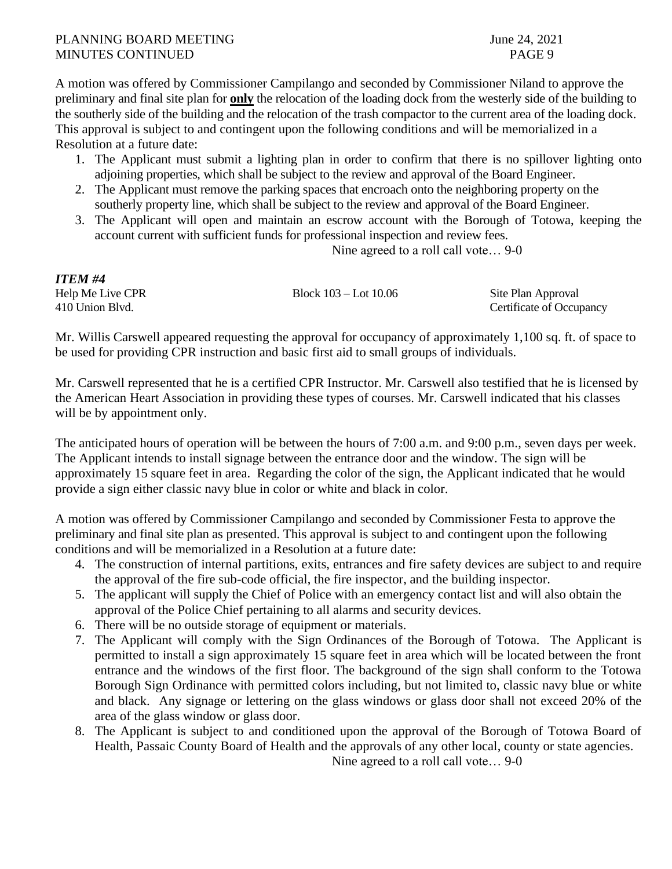A motion was offered by Commissioner Campilango and seconded by Commissioner Niland to approve the preliminary and final site plan for **only** the relocation of the loading dock from the westerly side of the building to the southerly side of the building and the relocation of the trash compactor to the current area of the loading dock. This approval is subject to and contingent upon the following conditions and will be memorialized in a Resolution at a future date:

- 1. The Applicant must submit a lighting plan in order to confirm that there is no spillover lighting onto adjoining properties, which shall be subject to the review and approval of the Board Engineer.
- 2. The Applicant must remove the parking spaces that encroach onto the neighboring property on the southerly property line, which shall be subject to the review and approval of the Board Engineer.
- 3. The Applicant will open and maintain an escrow account with the Borough of Totowa, keeping the account current with sufficient funds for professional inspection and review fees.

Nine agreed to a roll call vote… 9-0

| <b>ITEM#4</b>    |                           |                          |
|------------------|---------------------------|--------------------------|
| Help Me Live CPR | Block $103 -$ Lot $10.06$ | Site Plan Approval       |
| 410 Union Blvd.  |                           | Certificate of Occupancy |

Mr. Willis Carswell appeared requesting the approval for occupancy of approximately 1,100 sq. ft. of space to be used for providing CPR instruction and basic first aid to small groups of individuals.

Mr. Carswell represented that he is a certified CPR Instructor. Mr. Carswell also testified that he is licensed by the American Heart Association in providing these types of courses. Mr. Carswell indicated that his classes will be by appointment only.

The anticipated hours of operation will be between the hours of 7:00 a.m. and 9:00 p.m., seven days per week. The Applicant intends to install signage between the entrance door and the window. The sign will be approximately 15 square feet in area. Regarding the color of the sign, the Applicant indicated that he would provide a sign either classic navy blue in color or white and black in color.

A motion was offered by Commissioner Campilango and seconded by Commissioner Festa to approve the preliminary and final site plan as presented. This approval is subject to and contingent upon the following conditions and will be memorialized in a Resolution at a future date:

- 4. The construction of internal partitions, exits, entrances and fire safety devices are subject to and require the approval of the fire sub-code official, the fire inspector, and the building inspector.
- 5. The applicant will supply the Chief of Police with an emergency contact list and will also obtain the approval of the Police Chief pertaining to all alarms and security devices.
- 6. There will be no outside storage of equipment or materials.
- 7. The Applicant will comply with the Sign Ordinances of the Borough of Totowa. The Applicant is permitted to install a sign approximately 15 square feet in area which will be located between the front entrance and the windows of the first floor. The background of the sign shall conform to the Totowa Borough Sign Ordinance with permitted colors including, but not limited to, classic navy blue or white and black. Any signage or lettering on the glass windows or glass door shall not exceed 20% of the area of the glass window or glass door.
- 8. The Applicant is subject to and conditioned upon the approval of the Borough of Totowa Board of Health, Passaic County Board of Health and the approvals of any other local, county or state agencies. Nine agreed to a roll call vote… 9-0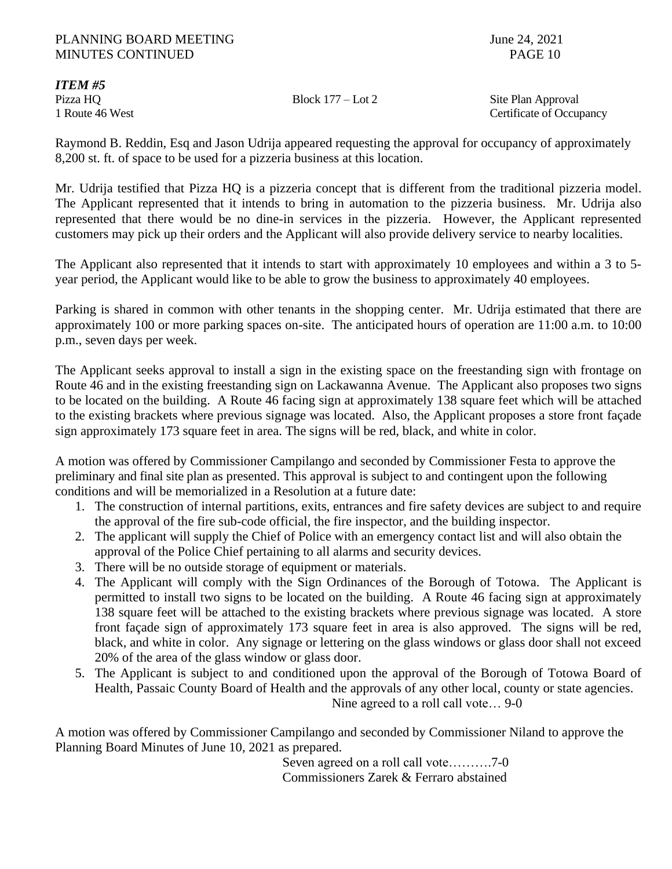*ITEM #5*

Pizza HQ Block 177 – Lot 2 Site Plan Approval 1 Route 46 West Certificate of Occupancy

Raymond B. Reddin, Esq and Jason Udrija appeared requesting the approval for occupancy of approximately 8,200 st. ft. of space to be used for a pizzeria business at this location.

Mr. Udrija testified that Pizza HQ is a pizzeria concept that is different from the traditional pizzeria model. The Applicant represented that it intends to bring in automation to the pizzeria business. Mr. Udrija also represented that there would be no dine-in services in the pizzeria. However, the Applicant represented customers may pick up their orders and the Applicant will also provide delivery service to nearby localities.

The Applicant also represented that it intends to start with approximately 10 employees and within a 3 to 5 year period, the Applicant would like to be able to grow the business to approximately 40 employees.

Parking is shared in common with other tenants in the shopping center. Mr. Udrija estimated that there are approximately 100 or more parking spaces on-site. The anticipated hours of operation are 11:00 a.m. to 10:00 p.m., seven days per week.

The Applicant seeks approval to install a sign in the existing space on the freestanding sign with frontage on Route 46 and in the existing freestanding sign on Lackawanna Avenue. The Applicant also proposes two signs to be located on the building. A Route 46 facing sign at approximately 138 square feet which will be attached to the existing brackets where previous signage was located. Also, the Applicant proposes a store front façade sign approximately 173 square feet in area. The signs will be red, black, and white in color.

A motion was offered by Commissioner Campilango and seconded by Commissioner Festa to approve the preliminary and final site plan as presented. This approval is subject to and contingent upon the following conditions and will be memorialized in a Resolution at a future date:

- 1. The construction of internal partitions, exits, entrances and fire safety devices are subject to and require the approval of the fire sub-code official, the fire inspector, and the building inspector.
- 2. The applicant will supply the Chief of Police with an emergency contact list and will also obtain the approval of the Police Chief pertaining to all alarms and security devices.
- 3. There will be no outside storage of equipment or materials.
- 4. The Applicant will comply with the Sign Ordinances of the Borough of Totowa. The Applicant is permitted to install two signs to be located on the building. A Route 46 facing sign at approximately 138 square feet will be attached to the existing brackets where previous signage was located. A store front façade sign of approximately 173 square feet in area is also approved. The signs will be red, black, and white in color. Any signage or lettering on the glass windows or glass door shall not exceed 20% of the area of the glass window or glass door.
- 5. The Applicant is subject to and conditioned upon the approval of the Borough of Totowa Board of Health, Passaic County Board of Health and the approvals of any other local, county or state agencies. Nine agreed to a roll call vote… 9-0

A motion was offered by Commissioner Campilango and seconded by Commissioner Niland to approve the Planning Board Minutes of June 10, 2021 as prepared.

Seven agreed on a roll call vote……….7-0 Commissioners Zarek & Ferraro abstained